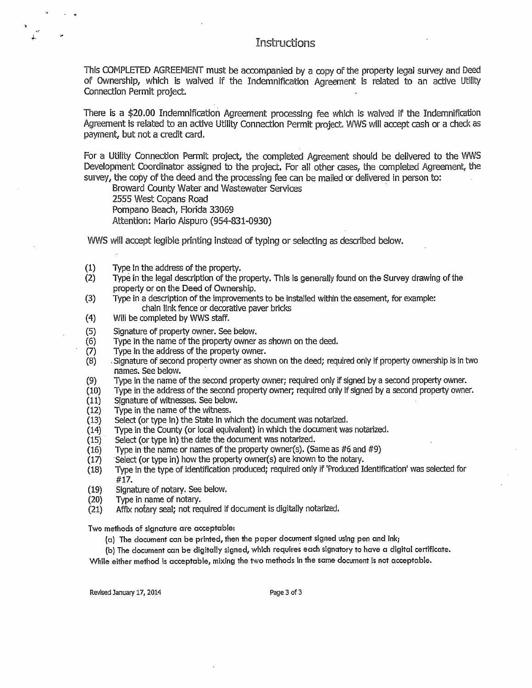**Instructions** 

This COMPLETED AGREEMENT must be accompanied by a copy of the property legal survey and Deed of Ownership, which is waived if the Indemnification Agreement is related to an active Utility Connection Permit project.

There is a \$20.00 Indemnification Agreement processing fee which is waived if the Indemnification Agreement is related to an active Utility Connection Permit project. WWS will accept cash or a check as payment, but not a credit card,

For a Utility Connection Permit project, the completed Agreement should be delivered to the WWS Development Coordinator assigned to the project. For all other cases, the completed Agreement, the survey, the copy of the deed and the processing fee can be mailed or delivered in person to:

Broward County Water and Wastewater Services · 2555 West Copans Road Pompano Beach, Florida 33069 Attention: Mario Aispuro (954-831-0930)

WWS will accept legible printing instead of typing or selecting as described below.

- (1) Type in the address of the property.
- (2) Type in the legal description of the property. This is generally found on the Survey drawing of the property or on the Deed of Ownership.
- (3) Type in a description of the improvements to be Installed within the easement, for example: chain link fence or decorative paver bricks
- (4) Will be completed by WWS staff.
- (5) Signature of property owner. See below.
- (6) Type in the name of the property owner as shown on the deed.
- (7) Type in the address of the property owner.
- (8) .Signature of second property owner as shown on the deed; required only if property ownership is in two names. See below. ·
- (9) Type in the name of the second property owner; required only if signed by a second property owner.
- (10) Type in the address of the second property owner; required only if signed by a second property owner.
- (11) Signature of witnesses. See below.
- (12) Type in the name of the witness.
- (13) Select (or type in) the State in which the document was notarized.
- (14) Type in the County ( or local equivalent) in which the document was notarized.
- (15) · Select (or type in) the date the document was notarized.
- (16) Type in the name or names of the property owner(s). (Same as  $#6$  and  $#9$ )
- $(17)$  Select (or type in) how the property owner(s) are known to the notary.
- (18) 1ype in the type of identification produced; required only if 'Produced Identification' was selected for **#17.**
- (19) Signature of.notary. See below.
- (20) Type in name of notary.
- (21) Affix notary seal; not required if document is digitally notarized.

Two methods of signature are acceptable:

(a) The document can be printed, then the paper document signed using pen and ink;

(b) The document can be digitally signed, which requires each signatory to have a digital certificate.

While either method is acceptable, mixing the two methods in the same document is not acceptable.

Revised January 17, 2014 **Page 3 of 3**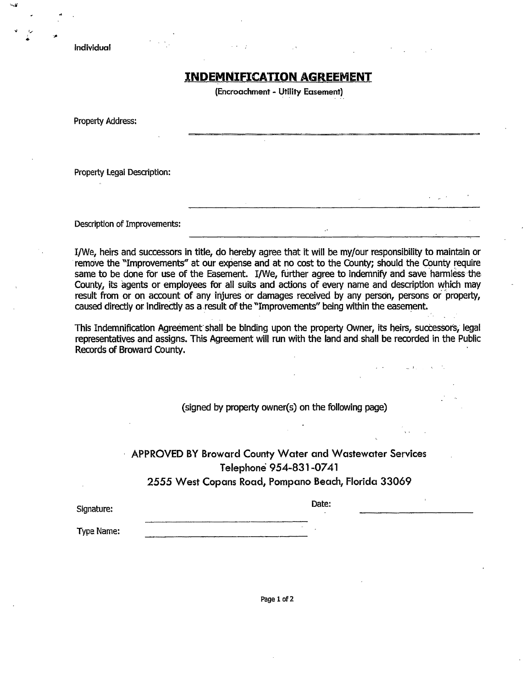Individual

## **INDEMNIFICATION AGREEMENT**

**(Encroachment** - **Utility Easement)** 

Property Address:

Property Legal Description:

Description of Improvements:

I/We, heirs and successors in title, do hereby agree that it will be my/our responsibility to maintain or remove the "Improvements" at our expense and at no cost to the County; should the County require same to be done for use of the Easement. I/We, further agree to indemnify and save harmless the County, its agents or employees for all suits and actions of every name and description which may result from or on account of any injures or damages received by any person, persons or 'property, caused directly or indirectly as a result of the "Improvements" being within the easement.

This Indemnification Agreement shall be binding upon the property Owner, its heirs, successors, legal representatives and assigns. This Agreement will run with the land and shall be recorded in the Public Records of Broward County.

(signed by property owner(s) on the following page)

## **APPROVED BY Broward County Water and Wastewater Services Telephone 954-831-0741 2555 West Copans Road, Pompano Beach, Florida 33069**

Date: Signature:

Type Name:

Page 1 of 2